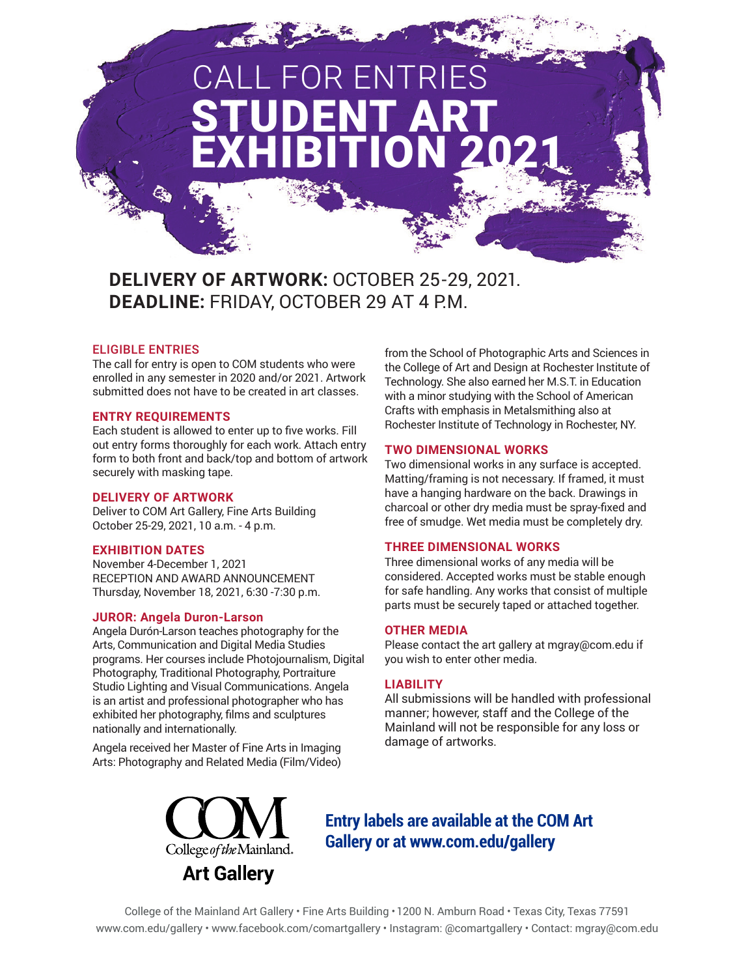# STUDENT ART EXHIBITION 2021 R ENTRIES

## **DELIVERY OF ARTWORK:** OCTOBER 25-29, 2021. **DEADLINE:** FRIDAY, OCTOBER 29 AT 4 P.M.

#### ELIGIBLE ENTRIES

The call for entry is open to COM students who were enrolled in any semester in 2020 and/or 2021. Artwork submitted does not have to be created in art classes.

#### **ENTRY REQUIREMENTS**

Each student is allowed to enter up to five works. Fill out entry forms thoroughly for each work. Attach entry form to both front and back/top and bottom of artwork securely with masking tape.

#### **DELIVERY OF ARTWORK**

Deliver to COM Art Gallery, Fine Arts Building October 25-29, 2021, 10 a.m. - 4 p.m.

#### **EXHIBITION DATES**

November 4-December 1, 2021 RECEPTION AND AWARD ANNOUNCEMENT Thursday, November 18, 2021, 6:30 -7:30 p.m.

#### **JUROR: Angela Duron-Larson**

Angela Durón-Larson teaches photography for the Arts, Communication and Digital Media Studies programs. Her courses include Photojournalism, Digital Photography, Traditional Photography, Portraiture Studio Lighting and Visual Communications. Angela is an artist and professional photographer who has exhibited her photography, films and sculptures nationally and internationally.

Angela received her Master of Fine Arts in Imaging Arts: Photography and Related Media (Film/Video) from the School of Photographic Arts and Sciences in the College of Art and Design at Rochester Institute of Technology. She also earned her M.S.T. in Education with a minor studying with the School of American Crafts with emphasis in Metalsmithing also at Rochester Institute of Technology in Rochester, NY.

#### **TWO DIMENSIONAL WORKS**

Two dimensional works in any surface is accepted. Matting/framing is not necessary. If framed, it must have a hanging hardware on the back. Drawings in charcoal or other dry media must be spray-fixed and free of smudge. Wet media must be completely dry.

#### **THREE DIMENSIONAL WORKS**

Three dimensional works of any media will be considered. Accepted works must be stable enough for safe handling. Any works that consist of multiple parts must be securely taped or attached together.

#### **OTHER MEDIA**

Please contact the art gallery at mgray@com.edu if you wish to enter other media.

#### **LIABILITY**

All submissions will be handled with professional manner; however, staff and the College of the Mainland will not be responsible for any loss or damage of artworks.



### **Entry labels are available at the COM Art Gallery or at www.com.edu/gallery**

College of the Mainland Art Gallery • Fine Arts Building • 1200 N. Amburn Road • Texas City, Texas 77591 www.com.edu/gallery • www.facebook.com/comartgallery • Instagram: @comartgallery • Contact: mgray@com.edu